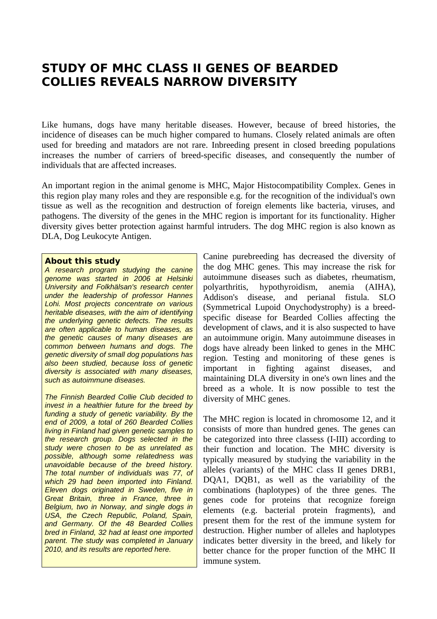## **STUDY OF MHC CLASS II GENES OF BEARDED COLLIES REVEALS NARROW DIVERSITY**

Like humans, dogs have many heritable diseases. However, because of breed histories, the incidence of diseases can be much higher compared to humans. Closely related animals are often used for breeding and matadors are not rare. Inbreeding present in closed breeding populations increases the number of carriers of breed-specific diseases, and consequently the number of individuals that are affected increases.

An important region in the animal genome is MHC, Major Histocompatibility Complex. Genes in this region play many roles and they are responsible e.g. for the recognition of the individual's own tissue as well as the recognition and destruction of foreign elements like bacteria, viruses, and pathogens. The diversity of the genes in the MHC region is important for its functionality. Higher diversity gives better protection against harmful intruders. The dog MHC region is also known as DLA, Dog Leukocyte Antigen.

## **About this study**

*A research program studying the canine genome was started in 2006 at Helsinki University and Folkhälsan's research center under the leadership of professor Hannes Lohi. Most projects concentrate on various heritable diseases, with the aim of identifying the underlying genetic defects. The results are often applicable to human diseases, as the genetic causes of many diseases are common between humans and dogs. The genetic diversity of small dog populations has also been studied, because loss of genetic diversity is associated with many diseases, such as autoimmune diseases.*

*The Finnish Bearded Collie Club decided to invest in a healthier future for the breed by funding a study of genetic variability. By the end of 2009, a total of 260 Bearded Collies living in Finland had given genetic samples to the research group. Dogs selected in the study were chosen to be as unrelated as possible, although some relatedness was unavoidable because of the breed history. The total number of individuals was 77, of which 29 had been imported into Finland. Eleven dogs originated in Sweden, five in Great Britain, three in France, three in Belgium, two in Norway, and single dogs in USA, the Czech Republic, Poland, Spain, and Germany. Of the 48 Bearded Collies bred in Finland, 32 had at least one imported parent. The study was completed in January 2010, and its results are reported here.*

Canine purebreeding has decreased the diversity of the dog MHC genes. This may increase the risk for autoimmune diseases such as diabetes, rheumatism, polyarthritis, hypothyroidism, anemia (AIHA), Addison's disease, and perianal fistula. SLO (Symmetrical Lupoid Onychodystrophy) is a breedspecific disease for Bearded Collies affecting the development of claws, and it is also suspected to have an autoimmune origin. Many autoimmune diseases in dogs have already been linked to genes in the MHC region. Testing and monitoring of these genes is important in fighting against diseases, and maintaining DLA diversity in one's own lines and the breed as a whole. It is now possible to test the diversity of MHC genes.

The MHC region is located in chromosome 12, and it consists of more than hundred genes. The genes can be categorized into three classess (I-III) according to their function and location. The MHC diversity is typically measured by studying the variability in the alleles (variants) of the MHC class II genes DRB1, DQA1, DQB1, as well as the variability of the combinations (haplotypes) of the three genes. The genes code for proteins that recognize foreign elements (e.g. bacterial protein fragments), and present them for the rest of the immune system for destruction. Higher number of alleles and haplotypes indicates better diversity in the breed, and likely for better chance for the proper function of the MHC II immune system.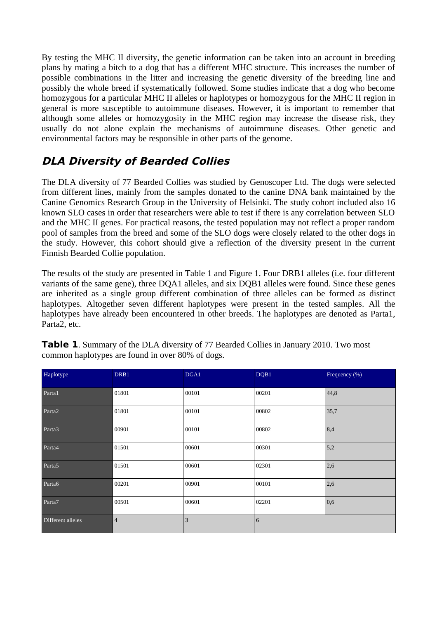By testing the MHC II diversity, the genetic information can be taken into an account in breeding plans by mating a bitch to a dog that has a different MHC structure. This increases the number of possible combinations in the litter and increasing the genetic diversity of the breeding line and possibly the whole breed if systematically followed. Some studies indicate that a dog who become homozygous for a particular MHC II alleles or haplotypes or homozygous for the MHC II region in general is more susceptible to autoimmune diseases. However, it is important to remember that although some alleles or homozygosity in the MHC region may increase the disease risk, they usually do not alone explain the mechanisms of autoimmune diseases. Other genetic and environmental factors may be responsible in other parts of the genome.

## **DLA Diversity of Bearded Collies**

The DLA diversity of 77 Bearded Collies was studied by Genoscoper Ltd. The dogs were selected from different lines, mainly from the samples donated to the canine DNA bank maintained by the Canine Genomics Research Group in the University of Helsinki. The study cohort included also 16 known SLO cases in order that researchers were able to test if there is any correlation between SLO and the MHC II genes. For practical reasons, the tested population may not reflect a proper random pool of samples from the breed and some of the SLO dogs were closely related to the other dogs in the study. However, this cohort should give a reflection of the diversity present in the current Finnish Bearded Collie population.

The results of the study are presented in Table 1 and Figure 1. Four DRB1 alleles (i.e. four different variants of the same gene), three DQA1 alleles, and six DQB1 alleles were found. Since these genes are inherited as a single group different combination of three alleles can be formed as distinct haplotypes. Altogether seven different haplotypes were present in the tested samples. All the haplotypes have already been encountered in other breeds. The haplotypes are denoted as Parta1, Parta2, etc.

| Haplotype          | DRB1           | DGA1  | DQB1  | Frequency (%) |
|--------------------|----------------|-------|-------|---------------|
| Parta1             | 01801          | 00101 | 00201 | 44,8          |
| Parta <sub>2</sub> | 01801          | 00101 | 00802 | 35,7          |
| Parta3             | 00901          | 00101 | 00802 | 8,4           |
| Parta4             | 01501          | 00601 | 00301 | 5,2           |
| Parta <sub>5</sub> | 01501          | 00601 | 02301 | 2,6           |
| Parta <sub>6</sub> | 00201          | 00901 | 00101 | 2,6           |
| Parta7             | 00501          | 00601 | 02201 | 0,6           |
| Different alleles  | $\overline{4}$ | 3     | 6     |               |

**Table 1.** Summary of the DLA diversity of 77 Bearded Collies in January 2010. Two most common haplotypes are found in over 80% of dogs.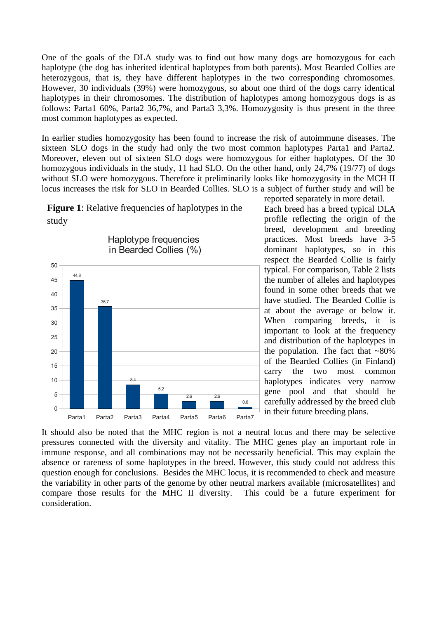One of the goals of the DLA study was to find out how many dogs are homozygous for each haplotype (the dog has inherited identical haplotypes from both parents). Most Bearded Collies are heterozygous, that is, they have different haplotypes in the two corresponding chromosomes. However, 30 individuals (39%) were homozygous, so about one third of the dogs carry identical haplotypes in their chromosomes. The distribution of haplotypes among homozygous dogs is as follows: Parta1 60%, Parta2 36,7%, and Parta3 3,3%. Homozygosity is thus present in the three most common haplotypes as expected.

In earlier studies homozygosity has been found to increase the risk of autoimmune diseases. The sixteen SLO dogs in the study had only the two most common haplotypes Parta1 and Parta2. Moreover, eleven out of sixteen SLO dogs were homozygous for either haplotypes. Of the 30 homozygous individuals in the study, 11 had SLO. On the other hand, only 24,7% (19/77) of dogs without SLO were homozygous. Therefore it preliminarily looks like homozygosity in the MCH II locus increases the risk for SLO in Bearded Collies. SLO is a subject of further study and will be

**Figure 1**: Relative frequencies of haplotypes in the study



reported separately in more detail.

Each breed has a breed typical DLA profile reflecting the origin of the breed, development and breeding practices. Most breeds have 3-5 dominant haplotypes, so in this respect the Bearded Collie is fairly typical. For comparison, Table 2 lists the number of alleles and haplotypes found in some other breeds that we have studied. The Bearded Collie is at about the average or below it. When comparing breeds, it is important to look at the frequency and distribution of the haplotypes in the population. The fact that  $~80\%$ of the Bearded Collies (in Finland) carry the two most common haplotypes indicates very narrow gene pool and that should be carefully addressed by the breed club in their future breeding plans.

It should also be noted that the MHC region is not a neutral locus and there may be selective pressures connected with the diversity and vitality. The MHC genes play an important role in immune response, and all combinations may not be necessarily beneficial. This may explain the absence or rareness of some haplotypes in the breed. However, this study could not address this question enough for conclusions. Besides the MHC locus, it is recommended to check and measure the variability in other parts of the genome by other neutral markers available (microsatellites) and compare those results for the MHC II diversity. This could be a future experiment for consideration.